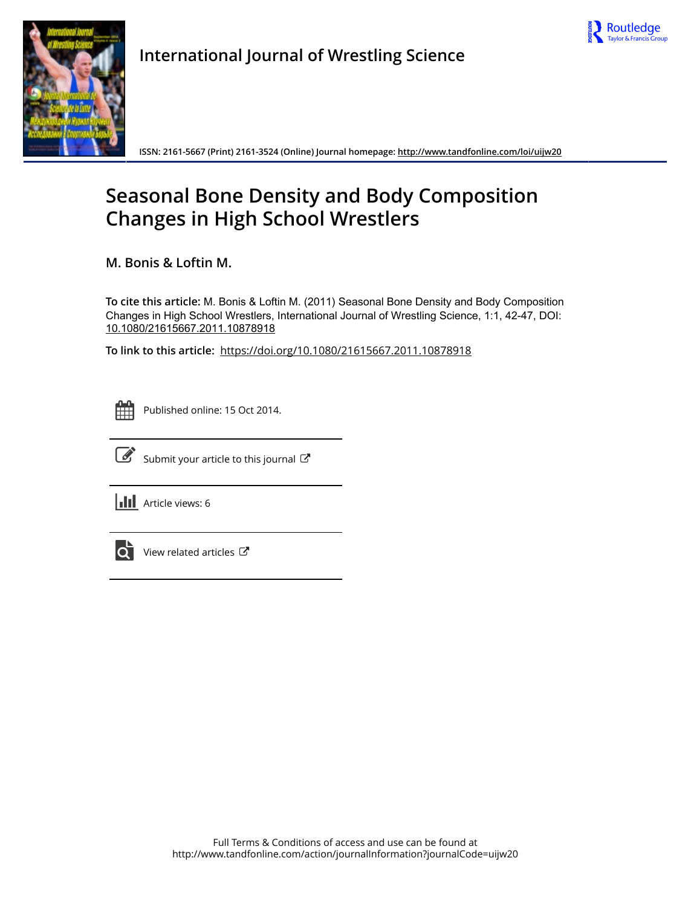



**International Journal of Wrestling Science**

**ISSN: 2161-5667 (Print) 2161-3524 (Online) Journal homepage:<http://www.tandfonline.com/loi/uijw20>**

# **Seasonal Bone Density and Body Composition Changes in High School Wrestlers**

**M. Bonis & Loftin M.**

**To cite this article:** M. Bonis & Loftin M. (2011) Seasonal Bone Density and Body Composition Changes in High School Wrestlers, International Journal of Wrestling Science, 1:1, 42-47, DOI: [10.1080/21615667.2011.10878918](http://www.tandfonline.com/action/showCitFormats?doi=10.1080/21615667.2011.10878918)

**To link to this article:** <https://doi.org/10.1080/21615667.2011.10878918>

|  | - |  |
|--|---|--|
|  |   |  |
|  |   |  |
|  |   |  |

Published online: 15 Oct 2014.



 $\overline{\mathscr{L}}$  [Submit your article to this journal](http://www.tandfonline.com/action/authorSubmission?journalCode=uijw20&show=instructions)  $\mathbb{F}$ 

**III** Article views: 6



 $\overrightarrow{Q}$  [View related articles](http://www.tandfonline.com/doi/mlt/10.1080/21615667.2011.10878918)  $\overrightarrow{C}$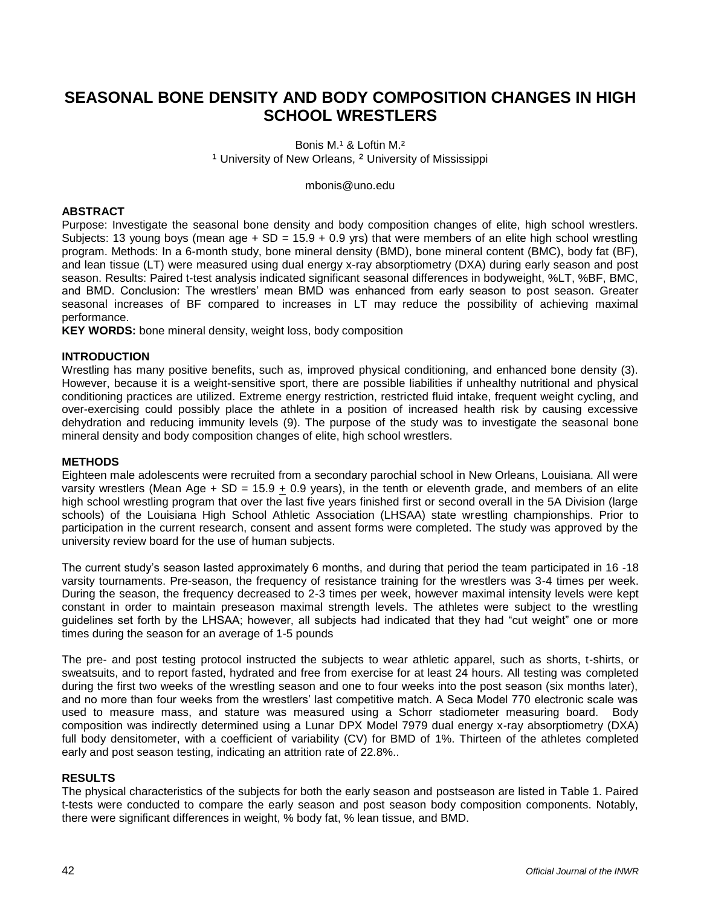# **SEASONAL BONE DENSITY AND BODY COMPOSITION CHANGES IN HIGH SCHOOL WRESTLERS**

Bonis M.<sup>1</sup> & Loftin M.<sup>2</sup> <sup>1</sup> University of New Orleans, <sup>2</sup> University of Mississippi

[mbonis@uno.edu](mailto:mbonis@uno.edu)

## **ABSTRACT**

Purpose: Investigate the seasonal bone density and body composition changes of elite, high school wrestlers. Subjects: 13 young boys (mean age  $+$  SD = 15.9 + 0.9 yrs) that were members of an elite high school wrestling program. Methods: In a 6-month study, bone mineral density (BMD), bone mineral content (BMC), body fat (BF), and lean tissue (LT) were measured using dual energy x-ray absorptiometry (DXA) during early season and post season. Results: Paired t-test analysis indicated significant seasonal differences in bodyweight, %LT, %BF, BMC, and BMD. Conclusion: The wrestlers" mean BMD was enhanced from early season to post season. Greater seasonal increases of BF compared to increases in LT may reduce the possibility of achieving maximal performance.

**KEY WORDS:** bone mineral density, weight loss, body composition

### **INTRODUCTION**

Wrestling has many positive benefits, such as, improved physical conditioning, and enhanced bone density (3). However, because it is a weight-sensitive sport, there are possible liabilities if unhealthy nutritional and physical conditioning practices are utilized. Extreme energy restriction, restricted fluid intake, frequent weight cycling, and over-exercising could possibly place the athlete in a position of increased health risk by causing excessive dehydration and reducing immunity levels (9). The purpose of the study was to investigate the seasonal bone mineral density and body composition changes of elite, high school wrestlers.

### **METHODS**

Eighteen male adolescents were recruited from a secondary parochial school in New Orleans, Louisiana. All were varsity wrestlers (Mean Age + SD =  $15.9 + 0.9$  years), in the tenth or eleventh grade, and members of an elite high school wrestling program that over the last five years finished first or second overall in the 5A Division (large schools) of the Louisiana High School Athletic Association (LHSAA) state wrestling championships. Prior to participation in the current research, consent and assent forms were completed. The study was approved by the university review board for the use of human subjects.

The current study"s season lasted approximately 6 months, and during that period the team participated in 16 -18 varsity tournaments. Pre-season, the frequency of resistance training for the wrestlers was 3-4 times per week. During the season, the frequency decreased to 2-3 times per week, however maximal intensity levels were kept constant in order to maintain preseason maximal strength levels. The athletes were subject to the wrestling guidelines set forth by the LHSAA; however, all subjects had indicated that they had "cut weight" one or more times during the season for an average of 1-5 pounds

The pre- and post testing protocol instructed the subjects to wear athletic apparel, such as shorts, t-shirts, or sweatsuits, and to report fasted, hydrated and free from exercise for at least 24 hours. All testing was completed during the first two weeks of the wrestling season and one to four weeks into the post season (six months later), and no more than four weeks from the wrestlers' last competitive match. A Seca Model 770 electronic scale was used to measure mass, and stature was measured using a Schorr stadiometer measuring board. Body composition was indirectly determined using a Lunar DPX Model 7979 dual energy x-ray absorptiometry (DXA) full body densitometer, with a coefficient of variability (CV) for BMD of 1%. Thirteen of the athletes completed early and post season testing, indicating an attrition rate of 22.8%..

### **RESULTS**

The physical characteristics of the subjects for both the early season and postseason are listed in Table 1. Paired t-tests were conducted to compare the early season and post season body composition components. Notably, there were significant differences in weight, % body fat, % lean tissue, and BMD.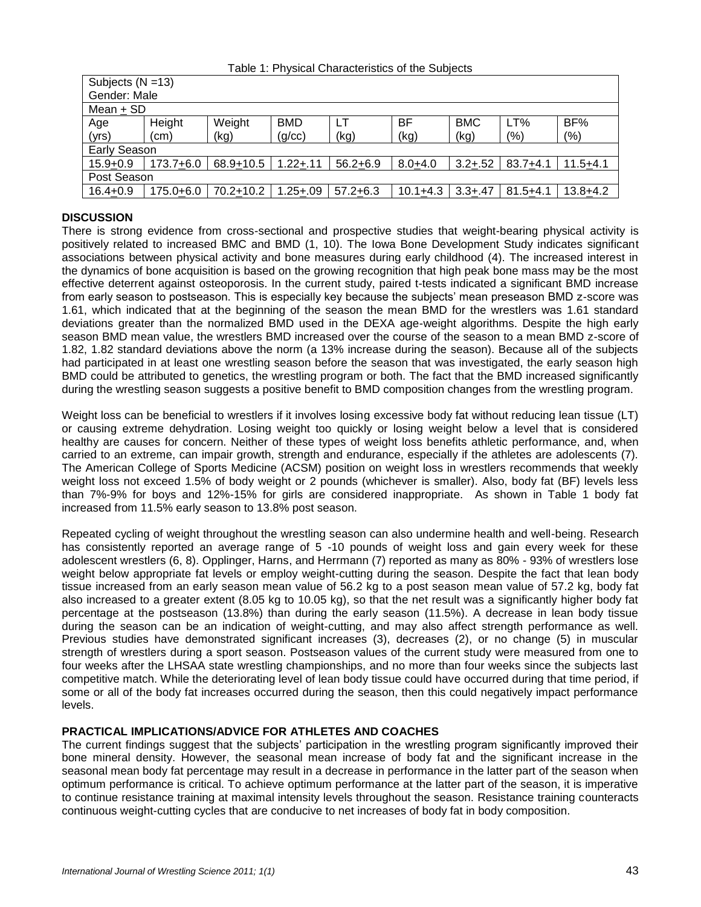| Table 1: Physical Characteristics of the Subjects |  |  |  |  |  |  |
|---------------------------------------------------|--|--|--|--|--|--|
|---------------------------------------------------|--|--|--|--|--|--|

| Subjects $(N = 13)$ |           |           |              |              |              |             |              |              |
|---------------------|-----------|-----------|--------------|--------------|--------------|-------------|--------------|--------------|
| Gender: Male        |           |           |              |              |              |             |              |              |
| Mean + SD           |           |           |              |              |              |             |              |              |
| Age                 | Height    | Weight    | <b>BMD</b>   | LT           | BF           | <b>BMC</b>  | LT%          | BF%          |
| (yrs)               | (cm)      | (kg)      | (g/cc)       | (kg)         | (kg)         | (kg)        | (%)          | (%)          |
| <b>Early Season</b> |           |           |              |              |              |             |              |              |
| $15.9 + 0.9$        | 173.7+6.0 | 68.9+10.5 | $1.22 + .11$ | $56.2 + 6.9$ | $8.0 + 4.0$  | $3.2 + .52$ | $83.7 + 4.1$ | $11.5 + 4.1$ |
| Post Season         |           |           |              |              |              |             |              |              |
| $16.4 + 0.9$        | 175.0+6.0 | 70.2+10.2 | $.25 + .09$  | $57.2 + 6.3$ | $10.1 + 4.3$ | $3.3 + .47$ | $81.5 + 4.1$ | $13.8 + 4.2$ |

### **DISCUSSION**

There is strong evidence from cross-sectional and prospective studies that weight-bearing physical activity is positively related to increased BMC and BMD (1, 10). The Iowa Bone Development Study indicates significant associations between physical activity and bone measures during early childhood (4). The increased interest in the dynamics of bone acquisition is based on the growing recognition that high peak bone mass may be the most effective deterrent against osteoporosis. In the current study, paired t-tests indicated a significant BMD increase from early season to postseason. This is especially key because the subjects' mean preseason BMD z-score was 1.61, which indicated that at the beginning of the season the mean BMD for the wrestlers was 1.61 standard deviations greater than the normalized BMD used in the DEXA age-weight algorithms. Despite the high early season BMD mean value, the wrestlers BMD increased over the course of the season to a mean BMD z-score of 1.82, 1.82 standard deviations above the norm (a 13% increase during the season). Because all of the subjects had participated in at least one wrestling season before the season that was investigated, the early season high BMD could be attributed to genetics, the wrestling program or both. The fact that the BMD increased significantly during the wrestling season suggests a positive benefit to BMD composition changes from the wrestling program.

Weight loss can be beneficial to wrestlers if it involves losing excessive body fat without reducing lean tissue (LT) or causing extreme dehydration. Losing weight too quickly or losing weight below a level that is considered healthy are causes for concern. Neither of these types of weight loss benefits athletic performance, and, when carried to an extreme, can impair growth, strength and endurance, especially if the athletes are adolescents (7). The American College of Sports Medicine (ACSM) position on weight loss in wrestlers recommends that weekly weight loss not exceed 1.5% of body weight or 2 pounds (whichever is smaller). Also, body fat (BF) levels less than 7%-9% for boys and 12%-15% for girls are considered inappropriate. As shown in Table 1 body fat increased from 11.5% early season to 13.8% post season.

Repeated cycling of weight throughout the wrestling season can also undermine health and well-being. Research has consistently reported an average range of 5 -10 pounds of weight loss and gain every week for these adolescent wrestlers (6, 8). Opplinger, Harns, and Herrmann (7) reported as many as 80% - 93% of wrestlers lose weight below appropriate fat levels or employ weight-cutting during the season. Despite the fact that lean body tissue increased from an early season mean value of 56.2 kg to a post season mean value of 57.2 kg, body fat also increased to a greater extent (8.05 kg to 10.05 kg), so that the net result was a significantly higher body fat percentage at the postseason (13.8%) than during the early season (11.5%). A decrease in lean body tissue during the season can be an indication of weight-cutting, and may also affect strength performance as well. Previous studies have demonstrated significant increases (3), decreases (2), or no change (5) in muscular strength of wrestlers during a sport season. Postseason values of the current study were measured from one to four weeks after the LHSAA state wrestling championships, and no more than four weeks since the subjects last competitive match. While the deteriorating level of lean body tissue could have occurred during that time period, if some or all of the body fat increases occurred during the season, then this could negatively impact performance levels.

### **PRACTICAL IMPLICATIONS/ADVICE FOR ATHLETES AND COACHES**

The current findings suggest that the subjects" participation in the wrestling program significantly improved their bone mineral density. However, the seasonal mean increase of body fat and the significant increase in the seasonal mean body fat percentage may result in a decrease in performance in the latter part of the season when optimum performance is critical. To achieve optimum performance at the latter part of the season, it is imperative to continue resistance training at maximal intensity levels throughout the season. Resistance training counteracts continuous weight-cutting cycles that are conducive to net increases of body fat in body composition.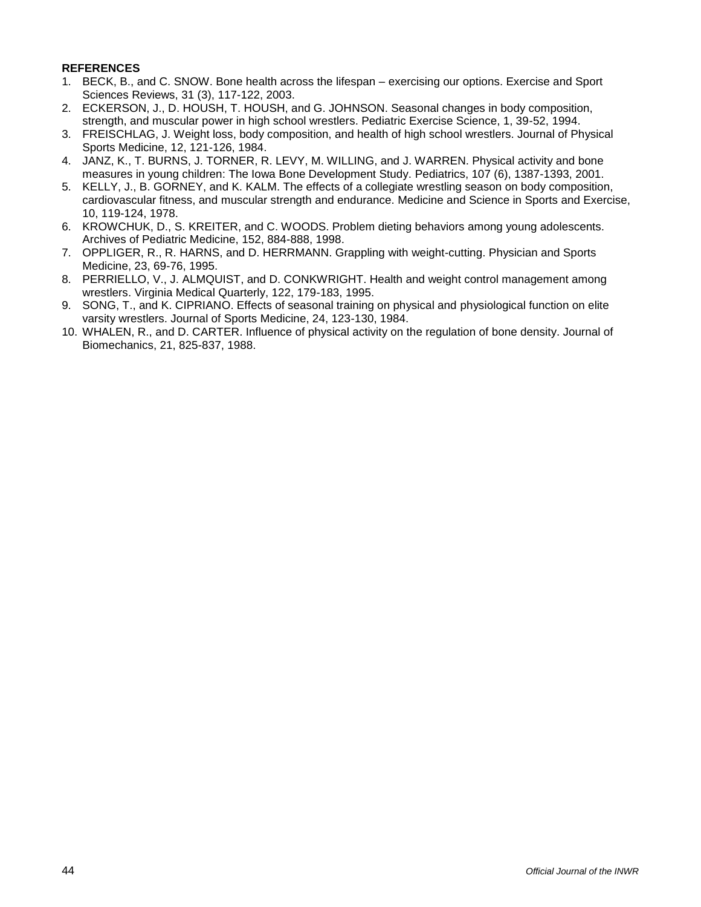### **REFERENCES**

- 1. BECK, B., and C. SNOW. Bone health across the lifespan exercising our options. Exercise and Sport Sciences Reviews, 31 (3), 117-122, 2003.
- 2. ECKERSON, J., D. HOUSH, T. HOUSH, and G. JOHNSON. Seasonal changes in body composition, strength, and muscular power in high school wrestlers. Pediatric Exercise Science, 1, 39-52, 1994.
- 3. FREISCHLAG, J. Weight loss, body composition, and health of high school wrestlers. Journal of Physical Sports Medicine, 12, 121-126, 1984.
- 4. JANZ, K., T. BURNS, J. TORNER, R. LEVY, M. WILLING, and J. WARREN. Physical activity and bone measures in young children: The Iowa Bone Development Study. Pediatrics, 107 (6), 1387-1393, 2001.
- 5. KELLY, J., B. GORNEY, and K. KALM. The effects of a collegiate wrestling season on body composition, cardiovascular fitness, and muscular strength and endurance. Medicine and Science in Sports and Exercise, 10, 119-124, 1978.
- 6. KROWCHUK, D., S. KREITER, and C. WOODS. Problem dieting behaviors among young adolescents. Archives of Pediatric Medicine, 152, 884-888, 1998.
- 7. OPPLIGER, R., R. HARNS, and D. HERRMANN. Grappling with weight-cutting. Physician and Sports Medicine, 23, 69-76, 1995.
- 8. PERRIELLO, V., J. ALMQUIST, and D. CONKWRIGHT. Health and weight control management among wrestlers. Virginia Medical Quarterly, 122, 179-183, 1995.
- 9. SONG, T., and K. CIPRIANO. Effects of seasonal training on physical and physiological function on elite varsity wrestlers. Journal of Sports Medicine, 24, 123-130, 1984.
- 10. WHALEN, R., and D. CARTER. Influence of physical activity on the regulation of bone density. Journal of Biomechanics, 21, 825-837, 1988.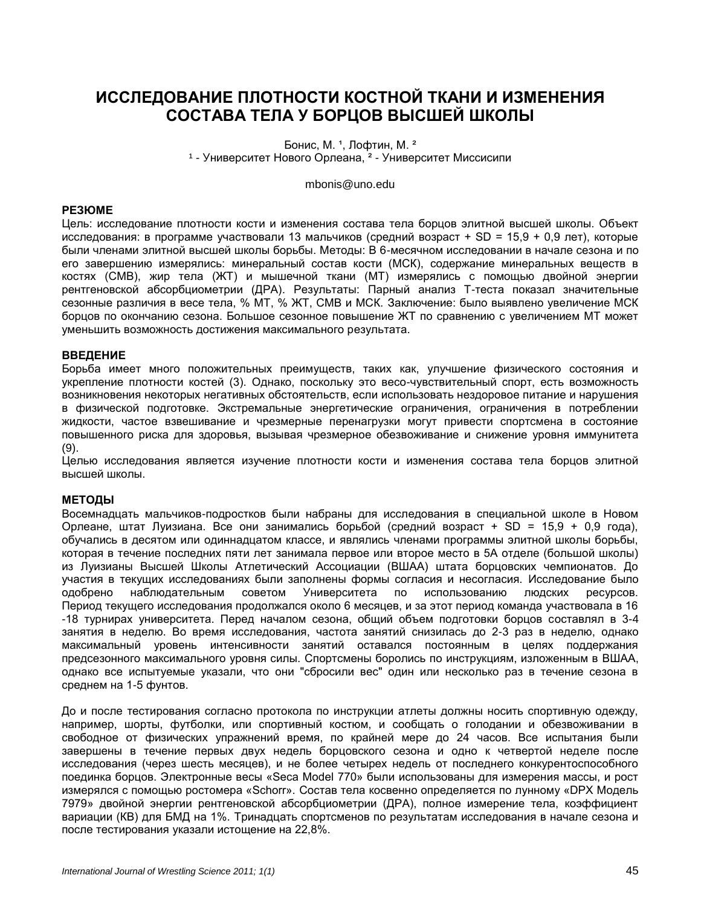# **ИССЛЕДОВАНИЕ ПЛОТНОСТИ КОСТНОЙ ТКАНИ И ИЗМЕНЕНИЯ СОСТАВА ТЕЛА У БОРЦОВ ВЫСШЕЙ ШКОЛЫ**

Бонис, М. <sup>1</sup>, Лофтин, М. <sup>2</sup> 1 - Университет Нового Орлеана, <sup>2</sup> - Университет Миссисипи

[mbonis@uno.edu](mailto:mbonis@uno.edu)

### **РЕЗЮМЕ**

Цель: исследование плотности кости и изменения состава тела борцов элитной высшей школы. Объект исследования: в программе участвовали 13 мальчиков (средний возраст + SD = 15,9 + 0,9 лет), которые были членами элитной высшей школы борьбы. Методы: В 6-месячном исследовании в начале сезона и по его завершению измерялись: минеральный состав кости (МСК), содержание минеральных веществ в костях (СМВ), жир тела (ЖТ) и мышечной ткани (МT) измерялись с помощью двойной энергии рентгеновской абсорбциометрии (ДРА). Результаты: Парный анализ Т-теста показал значительные сезонные различия в весе тела, % МT, % ЖТ, СМВ и MCК. Заключение: было выявлено увеличение МСК борцов по окончанию сезона. Большое сезонное повышение ЖТ по сравнению с увеличением МT может уменьшить возможность достижения максимального результата.

#### **ВВЕДЕНИЕ**

Борьба имеет много положительных преимуществ, таких как, улучшение физического состояния и укрепление плотности костей (3). Однако, поскольку это весо-чувствительный спорт, есть возможность возникновения некоторых негативных обстоятельств, если использовать нездоровое питание и нарушения в физической подготовке. Экстремальные энергетические ограничения, ограничения в потреблении жидкости, частое взвешивание и чрезмерные перенагрузки могут привести спортсмена в состояние повышенного риска для здоровья, вызывая чрезмерное обезвоживание и снижение уровня иммунитета (9).

Целью исследования является изучение плотности кости и изменения состава тела борцов элитной высшей школы.

### **МЕТОДЫ**

Восемнадцать мальчиков-подростков были набраны для исследования в специальной школе в Новом Орлеане, штат Луизиана. Все они занимались борьбой (средний возраст + SD = 15,9 + 0,9 года), обучались в десятом или одиннадцатом классе, и являлись членами программы элитной школы борьбы, которая в течение последних пяти лет занимала первое или второе место в 5А отделе (большой школы) из Луизианы Высшей Школы Атлетический Ассоциации (ВШAA) штата борцовских чемпионатов. До участия в текущих исследованиях были заполнены формы согласия и несогласия. Исследование было одобрено наблюдательным советом Университета по использованию людских ресурсов. Период текущего исследования продолжался около 6 месяцев, и за этот период команда участвовала в 16 -18 турнирах университета. Перед началом сезона, общий объем подготовки борцов составлял в 3-4 занятия в неделю. Во время исследования, частота занятий снизилась до 2-3 раз в неделю, однако максимальный уровень интенсивности занятий оставался постоянным в целях поддержания предсезонного максимального уровня силы. Спортсмены боролись по инструкциям, изложенным в ВШAA, однако все испытуемые указали, что они "сбросили вес" один или несколько раз в течение сезона в среднем на 1-5 фунтов.

До и после тестирования согласно протокола по инструкции атлеты должны носить спортивную одежду, например, шорты, футболки, или спортивный костюм, и сообщать о голодании и обезвоживании в свободное от физических упражнений время, по крайней мере до 24 часов. Все испытания были завершены в течение первых двух недель борцовского сезона и одно к четвертой неделе после исследования (через шесть месяцев), и не более четырех недель от последнего конкурентоспособного поединка борцов. Электронные весы «Seca Model 770» были использованы для измерения массы, и рост измерялся с помощью ростомера «Schorr». Состав тела косвенно определяется по лунному «DPX Модель 7979» двойной энергии рентгеновской абсорбциометрии (ДРА), полное измерение тела, коэффициент вариации (КВ) для БМД на 1%. Тринадцать спортсменов по результатам исследования в начале сезона и после тестирования указали истощение на 22,8%.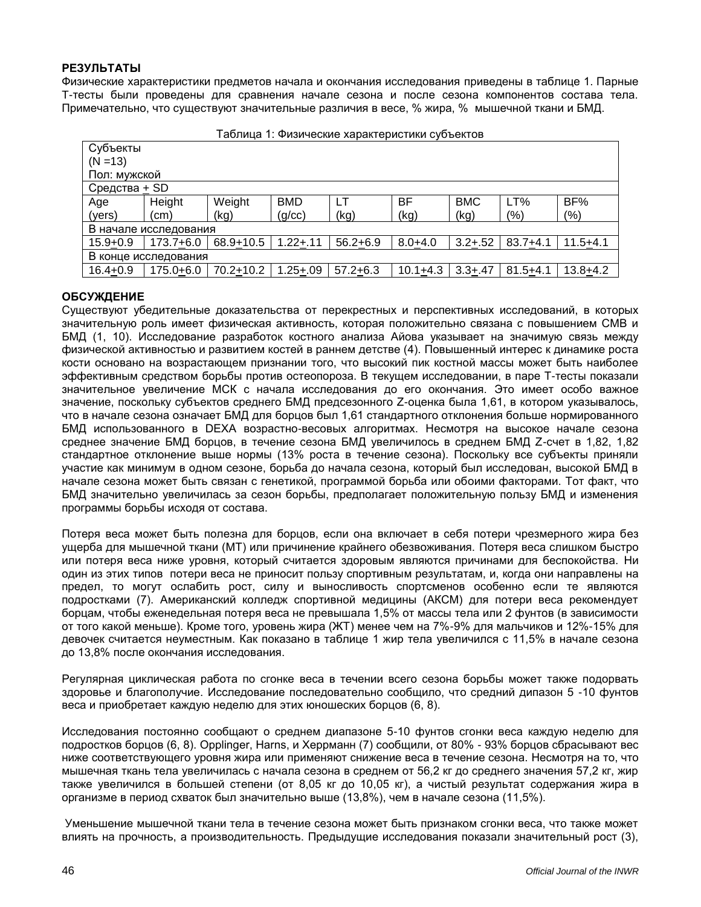### **РЕЗУЛЬТАТЫ**

Физические характеристики предметов начала и окончания исследования приведены в таблице 1. Парные T-тесты были проведены для сравнения начале сезона и после сезона компонентов состава тела. Примечательно, что существуют значительные различия в весе, % жира, % мышечной ткани и БМД.

| aojinua 1. Washyeckine xapaktephictikki cyobektob |               |           |              |              |              |             |              |              |
|---------------------------------------------------|---------------|-----------|--------------|--------------|--------------|-------------|--------------|--------------|
|                                                   | Субъекты      |           |              |              |              |             |              |              |
| $(N = 13)$                                        |               |           |              |              |              |             |              |              |
| Пол: мужской                                      |               |           |              |              |              |             |              |              |
|                                                   | Средства + SD |           |              |              |              |             |              |              |
| Age                                               | Height        | Weight    | <b>BMD</b>   | LT           | ВF           | <b>BMC</b>  | LT%          | BF%          |
| (yers)                                            | (cm)          | (kg)      | (g/cc)       | (kg)         | (kg)         | (kg)        | (%)          | (%)          |
| В начале исследования                             |               |           |              |              |              |             |              |              |
| $15.9 + 0.9$                                      | 173.7+6.0     | 68.9+10.5 | $1.22 + .11$ | $56.2 + 6.9$ | $8.0 + 4.0$  | $3.2 + .52$ | $83.7 + 4.1$ | $11.5 + 4.1$ |
| В конце исследования                              |               |           |              |              |              |             |              |              |
| $16.4 + 0.9$                                      | $175.0 + 6.0$ | 70.2+10.2 | $1.25 + .09$ | $57.2 + 6.3$ | $10.1 + 4.3$ | $3.3 + .47$ | $81.5 + 4.1$ | $13.8 + 4.2$ |
|                                                   |               |           |              |              |              |             |              |              |

|  | Таблица 1: Физические характеристики субъектов |  |  |
|--|------------------------------------------------|--|--|
|  |                                                |  |  |
|  |                                                |  |  |
|  |                                                |  |  |

### **ОБСУЖДЕНИЕ**

Существуют убедительные доказательства от перекрестных и перспективных исследований, в которых значительную роль имеет физическая активность, которая положительно связана с повышением СМВ и БМД (1, 10). Исследование разработок костного анализа Айова указывает на значимую связь между физической активностью и развитием костей в раннем детстве (4). Повышенный интерес к динамике роста кости основано на возрастающем признании того, что высокий пик костной массы может быть наиболее эффективным средством борьбы против остеопороза. В текущем исследовании, в паре Т-тесты показали значительное увеличение МСК с начала исследования до его окончания. Это имеет особо важное значение, поскольку субъектов среднего БМД предсезонного Z-оценка была 1,61, в котором указывалось, что в начале сезона означает БМД для борцов был 1,61 стандартного отклонения больше нормированного БМД использованного в DEXA возрастно-весовых алгоритмах. Несмотря на высокое начале сезона среднее значение БМД борцов, в течение сезона БМД увеличилось в среднем БМД Z-счет в 1,82, 1,82 стандартное отклонение выше нормы (13% роста в течение сезона). Поскольку все субъекты приняли участие как минимум в одном сезоне, борьба до начала сезона, который был исследован, высокой БМД в начале сезона может быть связан с генетикой, программой борьба или обоими факторами. Тот факт, что БМД значительно увеличилась за сезон борьбы, предполагает положительную пользу БМД и изменения программы борьбы исходя от состава.

Потеря веса может быть полезна для борцов, если она включает в себя потери чрезмерного жира без ущерба для мышечной ткани (МT) или причинение крайнего обезвоживания. Потеря веса слишком быстро или потеря веса ниже уровня, который считается здоровым являются причинами для беспокойства. Ни один из этих типов потери веса не приносит пользу спортивным результатам, и, когда они направлены на предел, то могут ослабить рост, силу и выносливость спортсменов особенно если те являются подростками (7). Американский колледж спортивной медицины (AКСM) для потери веса рекомендует борцам, чтобы еженедельная потеря веса не превышала 1,5% от массы тела или 2 фунтов (в зависимости от того какой меньше). Кроме того, уровень жира (ЖТ) менее чем на 7%-9% для мальчиков и 12%-15% для девочек считается неуместным. Как показано в таблице 1 жир тела увеличился с 11,5% в начале сезона до 13,8% после окончания исследования.

Регулярная циклическая работа по сгонке веса в течении всего сезона борьбы может также подорвать здоровье и благополучие. Исследование последовательно сообщило, что средний дипазон 5 -10 фунтов веса и приобретает каждую неделю для этих юношеских борцов (6, 8).

Исследования постоянно сообщают о среднем диапазоне 5-10 фунтов сгонки веса каждую неделю для подростков борцов (6, 8). Opplinger, Harns, и Херрманн (7) сообщили, от 80% - 93% борцов сбрасывают вес ниже соответствующего уровня жира или применяют снижение веса в течение сезона. Несмотря на то, что мышечная ткань тела увеличилась с начала сезона в среднем от 56,2 кг до среднего значения 57,2 кг, жир также увеличился в большей степени (от 8,05 кг до 10,05 кг), а чистый результат содержания жира в организме в период схваток был значительно выше (13,8%), чем в начале сезона (11,5%).

Уменьшение мышечной ткани тела в течение сезона может быть признаком сгонки веса, что также может влиять на прочность, а производительность. Предыдущие исследования показали значительный рост (3),